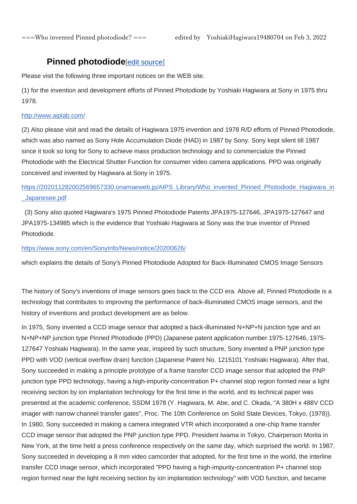# **Pinned photodiode**[\[edit source\]](https://en.wikipedia.org/w/index.php?title=Photodiode&action=edit§ion=10)

Please visit the following three important notices on the WEB site.

(1) for the invention and development efforts of Pinned Photodiode by Yoshiaki Hagiwara at Sony in 1975 thru 1978.

### <http://www.aiplab.com/>

(2) Also please visit and read the details of Hagiwara 1975 invention and 1978 R/D efforts of Pinned Photodiode, which was also named as Sony Hole Accumulation Diode (HAD) in 1987 by Sony. Sony kept silent till 1987 since it took so long for Sony to achieve mass production technology and to commercialize the Pinned Photodiode with the Electrical Shutter Function for consumer video camera applications. PPD was originally conceived and invented by Hagiwara at Sony in 1975.

## [https://202011282002569657330.onamaeweb.jp/AIPS\\_Library/Who\\_invented\\_Pinned\\_Photodiode\\_Hagiwara\\_in](https://202011282002569657330.onamaeweb.jp/AIPS_Library/Who_invented_Pinned_Photodiode_Hagiwara_in_Japanesee.pdf) [\\_Japanesee.pdf](https://202011282002569657330.onamaeweb.jp/AIPS_Library/Who_invented_Pinned_Photodiode_Hagiwara_in_Japanesee.pdf)

(3) Sony also quoted Hagiwara's 1975 Pinned Photodiode Patents JPA1975-127646, JPA1975-127647 and JPA1975-134985 which is the evidence that Yoshiaki Hagiwara at Sony was the true inventor of Pinned Photodiode.

## <https://www.sony.com/en/SonyInfo/News/notice/20200626/>

which explains the details of Sony's Pinned Photodiode Adopted for Back-Illuminated CMOS Image Sensors

The history of Sony's inventions of image sensors goes back to the CCD era. Above all, Pinned Photodiode is a technology that contributes to improving the performance of back-illuminated CMOS image sensors, and the history of inventions and product development are as below.

In 1975, Sony invented a CCD image sensor that adopted a back-illuminated N+NP+N junction type and an N+NP+NP junction type Pinned Photodiode (PPD) (Japanese patent application number 1975-127646, 1975- 127647 Yoshiaki Hagiwara). In the same year, inspired by such structure, Sony invented a PNP junction type PPD with VOD (vertical overflow drain) function (Japanese Patent No. 1215101 Yoshiaki Hagiwara). After that, Sony succeeded in making a principle prototype of a frame transfer CCD image sensor that adopted the PNP junction type PPD technology, having a high-impurity-concentration P+ channel stop region formed near a light receiving section by ion implantation technology for the first time in the world, and its technical paper was presented at the academic conference, SSDM 1978 (Y. Hagiwara, M. Abe, and C. Okada, "A 380H x 488V CCD imager with narrow channel transfer gates", Proc. The 10th Conference on Solid State Devices, Tokyo, (1978)). In 1980, Sony succeeded in making a camera integrated VTR which incorporated a one-chip frame transfer CCD image sensor that adopted the PNP junction type PPD. President Iwama in Tokyo, Chairperson Morita in New York, at the time held a press conference respectively on the same day, which surprised the world. In 1987, Sony succeeded in developing a 8 mm video camcorder that adopted, for the first time in the world, the interline transfer CCD image sensor, which incorporated "PPD having a high-impurity-concentration P+ channel stop region formed near the light receiving section by ion implantation technology" with VOD function, and became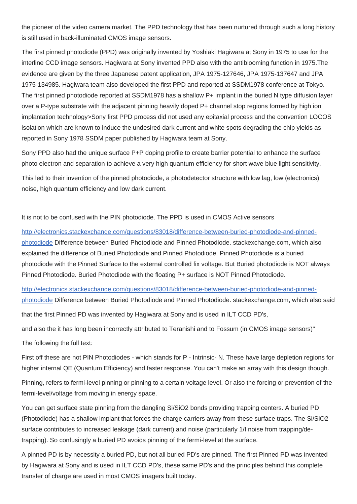the pioneer of the video camera market. The PPD technology that has been nurtured through such a long history is still used in back-illuminated CMOS image sensors.

The first pinned photodiode (PPD) was originally invented by Yoshiaki Hagiwara at Sony in 1975 to use for the interline CCD image sensors. Hagiwara at Sony invented PPD also with the antiblooming function in 1975.The evidence are given by the three Japanese patent application, JPA 1975-127646, JPA 1975-137647 and JPA 1975-134985. Hagiwara team also developed the first PPD and reported at SSDM1978 conference at Tokyo. The first pinned photodiode reported at SSDM1978 has a shallow P+ implant in the buried N type diffusion layer over a P-type substrate with the adjacent pinning heavily doped P+ channel stop regions formed by high ion implantation technology>Sony first PPD process did not used any epitaxial process and the convention LOCOS isolation which are known to induce the undesired dark current and white spots degrading the chip yields as reported in Sony 1978 SSDM paper published by Hagiwara team at Sony.

Sony PPD also had the unique surface P+P doping profile to create barrier potential to enhance the surface photo electron and separation to achieve a very high quantum efficiency for short wave blue light sensitivity.

This led to their invention of the pinned photodiode, a photodetector structure with low lag, low (electronics) noise, high quantum efficiency and low dark current.

It is not to be confused with the PIN photodiode. The PPD is used in CMOS Active sensors

[http://electronics.stackexchange.com/questions/83018/difference-between-buried-photodiode-and-pinned](http://electronics.stackexchange.com/questions/83018/difference-between-buried-photodiode-and-pinned-photodiode)[photodiode](http://electronics.stackexchange.com/questions/83018/difference-between-buried-photodiode-and-pinned-photodiode) Difference between Buried Photodiode and Pinned Photodiode. stackexchange.com, which also explained the difference of Buried Photodiode and Pinned Photodiode. Pinned Photodiode is a buried photodiode with the Pinned Surface to the external controlled fix voltage. But Buried photodiode is NOT always Pinned Photodiode. Buried Photodiode with the floating P+ surface is NOT Pinned Photodiode.

[http://electronics.stackexchange.com/questions/83018/difference-between-buried-photodiode-and-pinned](http://electronics.stackexchange.com/questions/83018/difference-between-buried-photodiode-and-pinned-photodiode)[photodiode](http://electronics.stackexchange.com/questions/83018/difference-between-buried-photodiode-and-pinned-photodiode) Difference between Buried Photodiode and Pinned Photodiode. stackexchange.com, which also said

that the first Pinned PD was invented by Hagiwara at Sony and is used in ILT CCD PD's,

and also the it has long been incorrectly attributed to Teranishi and to Fossum (in CMOS image sensors)"

The following the full text:

First off these are not PIN Photodiodes - which stands for P - Intrinsic- N. These have large depletion regions for higher internal QE (Quantum Efficiency) and faster response. You can't make an array with this design though.

Pinning, refers to fermi-level pinning or pinning to a certain voltage level. Or also the forcing or prevention of the fermi-level/voltage from moving in energy space.

You can get surface state pinning from the dangling Si/SiO2 bonds providing trapping centers. A buried PD (Photodiode) has a shallow implant that forces the charge carriers away from these surface traps. The Si/SiO2 surface contributes to increased leakage (dark current) and noise (particularly 1/f noise from trapping/detrapping). So confusingly a buried PD avoids pinning of the fermi-level at the surface.

A pinned PD is by necessity a buried PD, but not all buried PD's are pinned. The first Pinned PD was invented by Hagiwara at Sony and is used in ILT CCD PD's, these same PD's and the principles behind this complete transfer of charge are used in most CMOS imagers built today.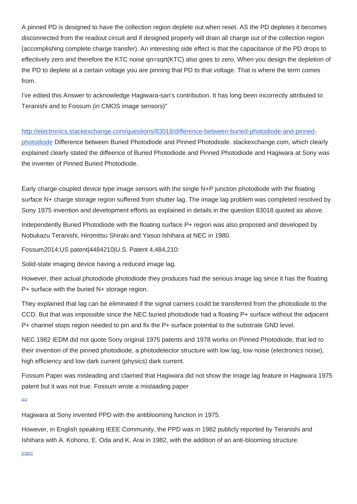A pinned PD is designed to have the collection region deplete out when reset. AS the PD depletes it becomes disconnected from the readout circuit and if designed properly will drain all charge out of the collection region (accomplishing complete charge transfer). An interesting side effect is that the capacitance of the PD drops to effectively zero and therefore the KTC noise qn=sqrt(KTC) also goes to zero. When you design the depletion of the PD to deplete at a certain voltage you are pinning that PD to that voltage. That is where the term comes from.

I've edited this Answer to acknowledge Hagiwara-san's contribution. It has long been incorrectly attributed to Teranishi and to Fossum (in CMOS image sensors)"

[http://electronics.stackexchange.com/questions/83018/difference-between-buried-photodiode-and-pinned](http://electronics.stackexchange.com/questions/83018/difference-between-buried-photodiode-and-pinned-photodiode)[photodiode](http://electronics.stackexchange.com/questions/83018/difference-between-buried-photodiode-and-pinned-photodiode) Difference between Buried Photodiode and Pinned Photodiode. stackexchange.com, which clearly explained clearly stated the diffeence of Buried Photodiode and Pinned Photodiode and Hagiwara at Sony was the inventer of Pinned Buried Photodiode.

Early charge-coupled device type image sensors with the single N+P junction photodiode with the floating surface N+ charge storage region suffered from shutter lag. The image lag problem was completed resolved by Sony 1975 invention and development efforts as explained in details in the question 83018 quoted as above.

Independently Buried Photodiode with the floating surface P+ region was also proposed and developed by Nobukazu Teranishi, Hiromitsu Shiraki and Yasuo Ishihara at NEC in 1980.

Fossum2014:US patent|4484210|U.S. Patent 4,484,210:

Solid-state imaging device having a reduced image lag.

However, their actual photodiode photodiode they produces had the serious image lag since it has the floating P+ surface with the buried N+ storage region.

They explained that lag can be eliminated if the signal carriers could be transferred from the photodiode to the CCD. But that was impossible since the NEC buried photodiode had a floating P+ surface without the adjacent P+ channel stops region needed to pin and fix the P+ surface potential to the substrate GND level.

NEC 1982 IEDM did not quote Sony original 1975 patents and 1978 works on Pinned Photodiode, that led to their invention of the pinned photodiode, a photodetector structure with low lag, low noise (electronics noise), high efficiency and low dark current (physics) dark current.

Fossum Paper was misleading and claimed that Hagiwara did not show the image lag feature in Hagiwara 1975 patent but it was not true. Fossum wrote a mislaading paper

[\[21\]](https://en.wikipedia.org/wiki/Photodiode#cite_note-Fossum2014-21)

Hagiwara at Sony invented PPD with the antiblooming function in 1975.

However, in English speaking IEEE Community, the PPD was in 1982 publicly reported by Teranishi and Ishihara with A. Kohono, E. Oda and K. Arai in 1982, with the addition of an anti-blooming structure.

[\[21\]\[](https://en.wikipedia.org/wiki/Photodiode#cite_note-Fossum2014-21)[22\]](https://en.wikipedia.org/wiki/Photodiode#cite_note-22)